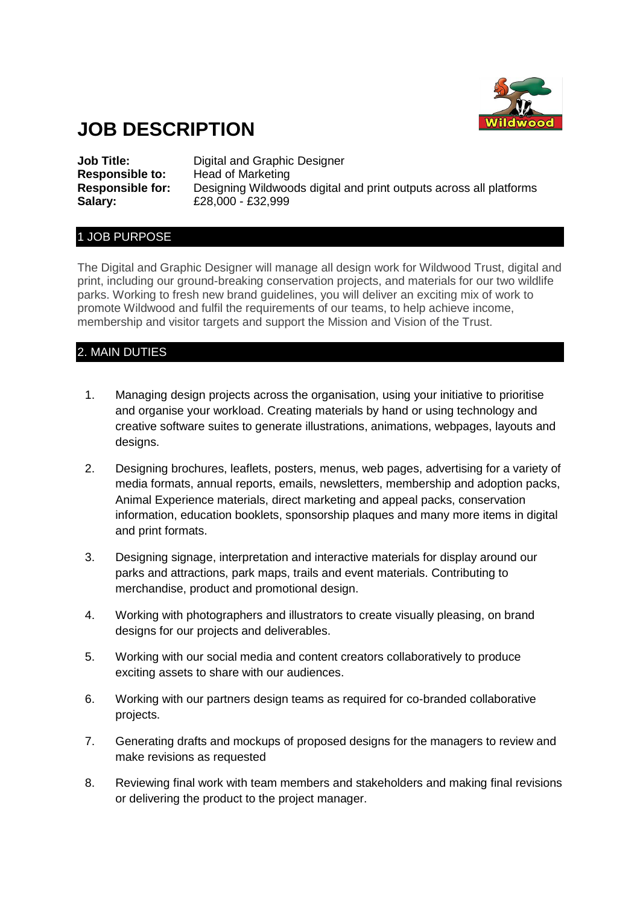

# **JOB DESCRIPTION**

**Job Title:** Digital and Graphic Designer **Responsible to:** Head of Marketing **Responsible for:** Designing Wildwoods digital and print outputs across all platforms **Salary:** £28,000 - £32,999

### 1 JOB PURPOSE

The Digital and Graphic Designer will manage all design work for Wildwood Trust, digital and print, including our ground-breaking conservation projects, and materials for our two wildlife parks. Working to fresh new brand guidelines, you will deliver an exciting mix of work to promote Wildwood and fulfil the requirements of our teams, to help achieve income, membership and visitor targets and support the Mission and Vision of the Trust.

# 2. MAIN DUTIES

- 1. Managing design projects across the organisation, using your initiative to prioritise and organise your workload. Creating materials by hand or using technology and creative software suites to generate illustrations, animations, webpages, layouts and designs.
- 2. Designing brochures, leaflets, posters, menus, web pages, advertising for a variety of media formats, annual reports, emails, newsletters, membership and adoption packs, Animal Experience materials, direct marketing and appeal packs, conservation information, education booklets, sponsorship plaques and many more items in digital and print formats.
- 3. Designing signage, interpretation and interactive materials for display around our parks and attractions, park maps, trails and event materials. Contributing to merchandise, product and promotional design.
- 4. Working with photographers and illustrators to create visually pleasing, on brand designs for our projects and deliverables.
- 5. Working with our social media and content creators collaboratively to produce exciting assets to share with our audiences.
- 6. Working with our partners design teams as required for co-branded collaborative projects.
- 7. Generating drafts and mockups of proposed designs for the managers to review and make revisions as requested
- 8. Reviewing final work with team members and stakeholders and making final revisions or delivering the product to the project manager.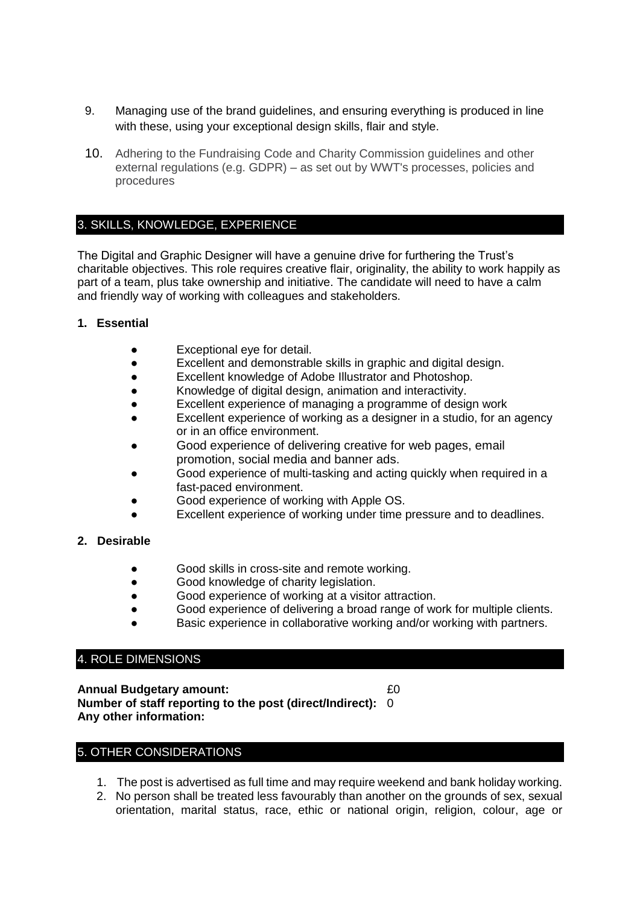- 9. Managing use of the brand guidelines, and ensuring everything is produced in line with these, using your exceptional design skills, flair and style.
- 10. Adhering to the Fundraising Code and Charity Commission guidelines and other external regulations (e.g. GDPR) – as set out by WWT's processes, policies and procedures

## 3. SKILLS, KNOWLEDGE, EXPERIENCE

The Digital and Graphic Designer will have a genuine drive for furthering the Trust's charitable objectives. This role requires creative flair, originality, the ability to work happily as part of a team, plus take ownership and initiative. The candidate will need to have a calm and friendly way of working with colleagues and stakeholders.

#### **1. Essential**

- Exceptional eye for detail.
- Excellent and demonstrable skills in graphic and digital design.
- Excellent knowledge of Adobe Illustrator and Photoshop.
- Knowledge of digital design, animation and interactivity.
- Excellent experience of managing a programme of design work
- Excellent experience of working as a designer in a studio, for an agency or in an office environment.
- Good experience of delivering creative for web pages, email promotion, social media and banner ads.
- Good experience of multi-tasking and acting quickly when required in a fast-paced environment.
- Good experience of working with Apple OS.
- Excellent experience of working under time pressure and to deadlines.
- **2. Desirable**
	- Good skills in cross-site and remote working.
	- Good knowledge of charity legislation.
	- Good experience of working at a visitor attraction.
	- Good experience of delivering a broad range of work for multiple clients.
	- Basic experience in collaborative working and/or working with partners.

# 4. ROLE DIMENSIONS

**Annual Budgetary amount:**  $£0$ **Number of staff reporting to the post (direct/Indirect):** 0 **Any other information:**

# 5. OTHER CONSIDERATIONS

- 1. The post is advertised as full time and may require weekend and bank holiday working.
- 2. No person shall be treated less favourably than another on the grounds of sex, sexual orientation, marital status, race, ethic or national origin, religion, colour, age or